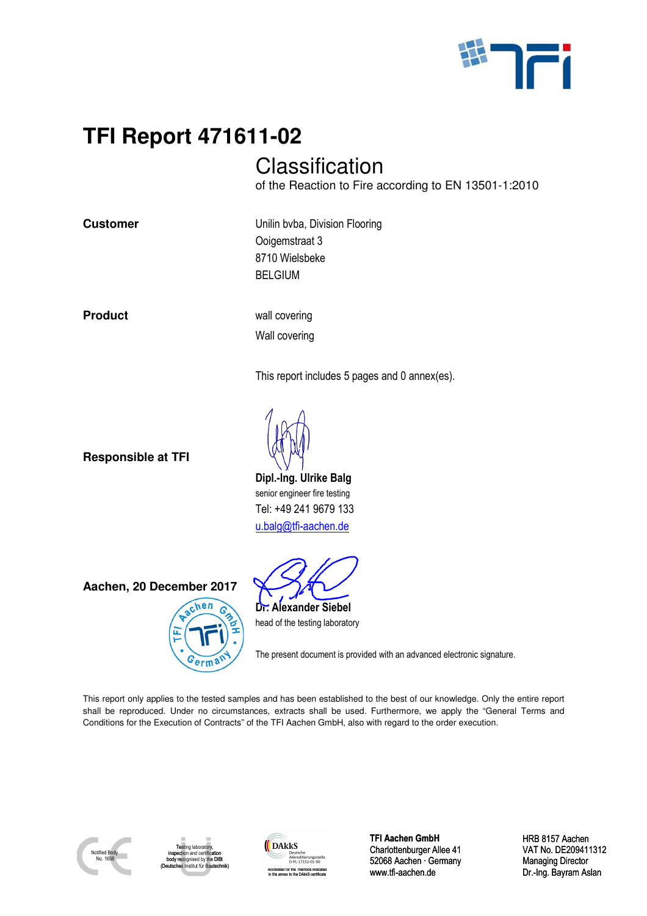

# **TFI Report 471611-02**

## **Classification**

of the Reaction to Fire according to EN 13501-1:2010

**Customer Customer Unilin bvba, Division Flooring** Ooigemstraat 3 8710 Wielsbeke BELGIUM

**Product wall covering** 

Wall covering

This report includes 5 pages and 0 annex(es).

**Responsible at TFI** 

**Dipl.-Ing. Ulrike Balg**  senior engineer fire testing Tel: +49 241 9679 133 u.balg@tfi-aachen.de

The present document is provided with an advanced electronic signature.

This report only applies to the tested samples and has been established to the best of our knowledge. Only the entire report shall be reproduced. Under no circumstances, extracts shall be used. Furthermore, we apply the "General Terms and Conditions for the Execution of Contracts" of the TFI Aachen GmbH, also with regard to the order execution.



Testing laboratory, inspection and certification d by the DIF (Deutsches Institut für Bautechnik)



**TFI Aachen GmbH** Charlottenburger Allee 41 52068 Aachen · Germany www.tfi-aachen.de

HRB 8157 Aachen VAT No. DE209411312 Managing Director Dr.-Ing. Bayram Aslan



**Dr. Alexander Siebel**  head of the testing laboratory

**Aachen, 20 December 2017**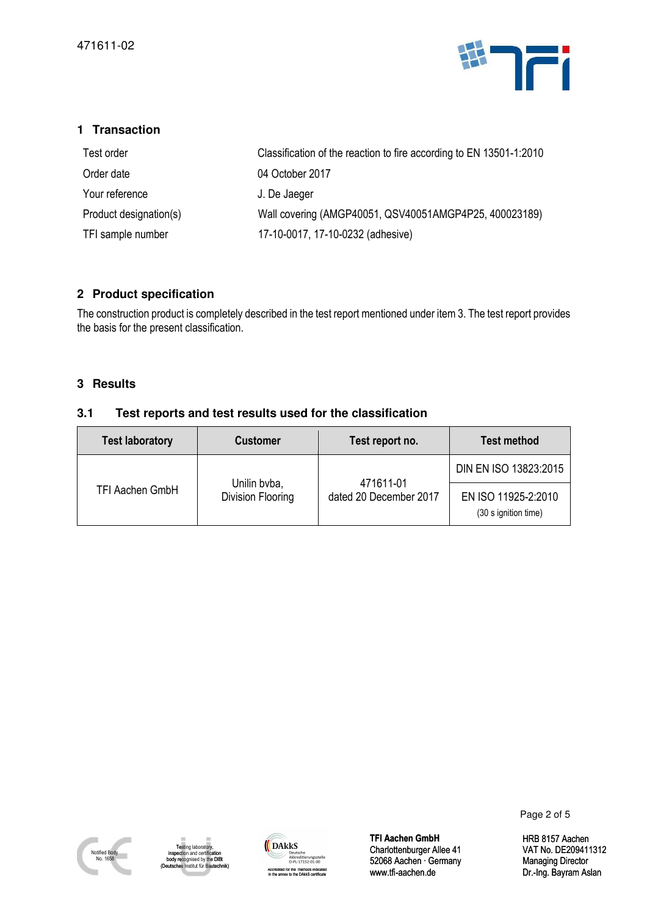

| Test order             | Classification of the reaction to fire according to EN 13501-1:2010 |
|------------------------|---------------------------------------------------------------------|
| Order date             | 04 October 2017                                                     |
| Your reference         | J. De Jaeger                                                        |
| Product designation(s) | Wall covering (AMGP40051, QSV40051AMGP4P25, 400023189)              |
| TFI sample number      | 17-10-0017, 17-10-0232 (adhesive)                                   |

### **2 Product specification**

### **3 Results**

### **3.1 Test reports and test results used for the classification**

| <b>Transaction</b><br>1                                                                                                         |                                                           |                                                                                                                      |                                   |  |  |  |
|---------------------------------------------------------------------------------------------------------------------------------|-----------------------------------------------------------|----------------------------------------------------------------------------------------------------------------------|-----------------------------------|--|--|--|
| Test order                                                                                                                      |                                                           | Classification of the reaction to fire according to EN 13501-1:2010                                                  |                                   |  |  |  |
| 04 October 2017<br>Order date                                                                                                   |                                                           |                                                                                                                      |                                   |  |  |  |
| Your reference<br>J. De Jaeger                                                                                                  |                                                           |                                                                                                                      |                                   |  |  |  |
| Product designation(s)                                                                                                          |                                                           | Wall covering (AMGP40051, QSV40051AMGP4P25, 400023189)                                                               |                                   |  |  |  |
| TFI sample number                                                                                                               |                                                           | 17-10-0017, 17-10-0232 (adhesive)                                                                                    |                                   |  |  |  |
|                                                                                                                                 |                                                           |                                                                                                                      |                                   |  |  |  |
| 2 Product specification                                                                                                         |                                                           |                                                                                                                      |                                   |  |  |  |
|                                                                                                                                 |                                                           | The construction product is completely described in the test report mentioned under item 3. The test report provides |                                   |  |  |  |
| the basis for the present classification.                                                                                       |                                                           |                                                                                                                      |                                   |  |  |  |
|                                                                                                                                 |                                                           |                                                                                                                      |                                   |  |  |  |
| <b>Results</b><br>3                                                                                                             |                                                           |                                                                                                                      |                                   |  |  |  |
| 3.1                                                                                                                             | Test reports and test results used for the classification |                                                                                                                      |                                   |  |  |  |
| <b>Test laboratory</b>                                                                                                          | <b>Customer</b>                                           | Test report no.                                                                                                      | <b>Test method</b>                |  |  |  |
|                                                                                                                                 |                                                           |                                                                                                                      | DIN EN ISO 13823:2015             |  |  |  |
| TFI Aachen GmbH                                                                                                                 | Unilin bvba,<br>Division Flooring                         | 471611-01<br>dated 20 December 2017                                                                                  | EN ISO 11925-2:2010               |  |  |  |
|                                                                                                                                 |                                                           |                                                                                                                      | (30 s ignition time)              |  |  |  |
|                                                                                                                                 |                                                           |                                                                                                                      |                                   |  |  |  |
|                                                                                                                                 |                                                           |                                                                                                                      |                                   |  |  |  |
|                                                                                                                                 |                                                           |                                                                                                                      |                                   |  |  |  |
|                                                                                                                                 |                                                           |                                                                                                                      |                                   |  |  |  |
|                                                                                                                                 |                                                           |                                                                                                                      |                                   |  |  |  |
|                                                                                                                                 |                                                           |                                                                                                                      |                                   |  |  |  |
|                                                                                                                                 |                                                           |                                                                                                                      |                                   |  |  |  |
|                                                                                                                                 |                                                           |                                                                                                                      |                                   |  |  |  |
|                                                                                                                                 |                                                           |                                                                                                                      |                                   |  |  |  |
|                                                                                                                                 |                                                           |                                                                                                                      |                                   |  |  |  |
|                                                                                                                                 |                                                           |                                                                                                                      |                                   |  |  |  |
|                                                                                                                                 |                                                           |                                                                                                                      |                                   |  |  |  |
|                                                                                                                                 |                                                           |                                                                                                                      |                                   |  |  |  |
|                                                                                                                                 |                                                           |                                                                                                                      | Page 2 of 5                       |  |  |  |
| Testing laboratory,                                                                                                             | <b>DAKKS</b><br>Deutsche                                  | <b>TFI Aachen GmbH</b><br>Charlottenburger Allee 41                                                                  | <b>HRB 8157 Aa</b><br>VAT No. DE2 |  |  |  |
| Notified Body<br>inspection and certification<br>No. 1658<br>body recognised by the DIBt<br>(Deutsches Institut für Bautechnik) | Akkreditierungsstelle<br>D-PL-17152-01-00                 | 52068 Aachen · Germany                                                                                               | <b>Managing Dir</b>               |  |  |  |



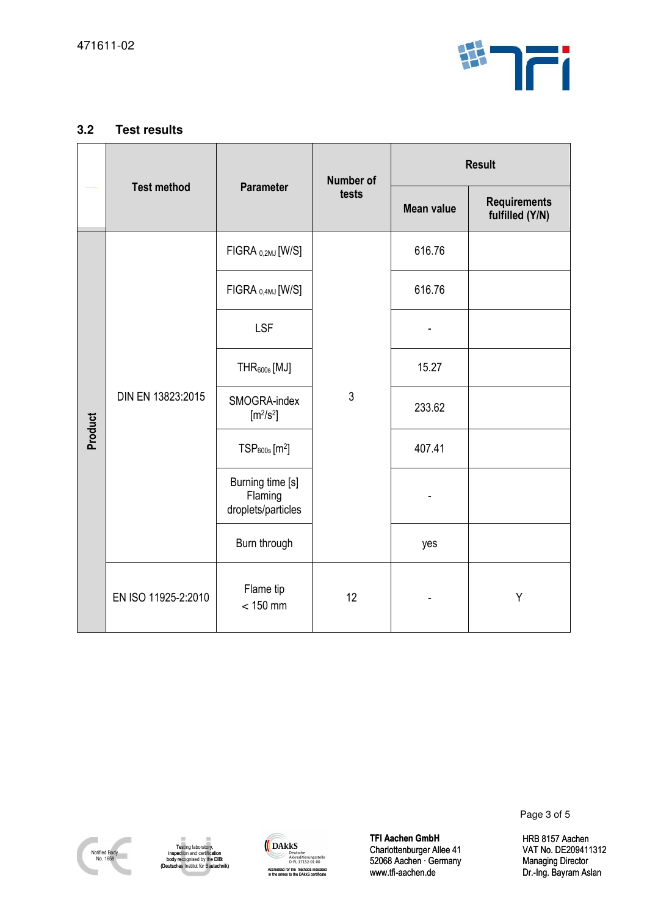

| $3.2\,$                   | <b>Test results</b>                                                                                                       |                                                                                                                                                        |                  |                                                                          |                                                      |  |
|---------------------------|---------------------------------------------------------------------------------------------------------------------------|--------------------------------------------------------------------------------------------------------------------------------------------------------|------------------|--------------------------------------------------------------------------|------------------------------------------------------|--|
|                           | <b>Test method</b>                                                                                                        |                                                                                                                                                        | <b>Number of</b> | <b>Result</b>                                                            |                                                      |  |
|                           |                                                                                                                           | <b>Parameter</b>                                                                                                                                       | tests            | <b>Mean value</b>                                                        | <b>Requirements</b><br>fulfilled (Y/N)               |  |
|                           | DIN EN 13823:2015                                                                                                         | $FIGRA_{0,2MJ}[W/S]$                                                                                                                                   |                  | 616.76                                                                   |                                                      |  |
|                           |                                                                                                                           | FIGRA <sub>0,4MJ</sub> [W/S]                                                                                                                           |                  | 616.76                                                                   |                                                      |  |
|                           |                                                                                                                           | <b>LSF</b>                                                                                                                                             |                  |                                                                          |                                                      |  |
|                           |                                                                                                                           | THR <sub>600s</sub> [MJ]                                                                                                                               |                  | 15.27                                                                    |                                                      |  |
| Product                   |                                                                                                                           | SMOGRA-index<br>[m <sup>2</sup> /s <sup>2</sup> ]                                                                                                      | $\mathfrak{Z}$   | 233.62                                                                   |                                                      |  |
|                           |                                                                                                                           | $TSP600s$ [m <sup>2</sup> ]                                                                                                                            |                  | 407.41                                                                   |                                                      |  |
|                           |                                                                                                                           | Burning time [s]<br>Flaming<br>droplets/particles                                                                                                      |                  |                                                                          |                                                      |  |
|                           |                                                                                                                           | Burn through                                                                                                                                           |                  | yes                                                                      |                                                      |  |
|                           | EN ISO 11925-2:2010                                                                                                       | Flame tip<br>$< 150$ mm                                                                                                                                | 12               |                                                                          | Υ                                                    |  |
|                           |                                                                                                                           |                                                                                                                                                        |                  |                                                                          |                                                      |  |
|                           |                                                                                                                           |                                                                                                                                                        |                  | <b>TFI Aachen GmbH</b>                                                   | Page 3 of 5<br><b>HRB 8157 Aa</b>                    |  |
| Notified Body<br>No. 1658 | Testing laboratory,<br>inspection and certification<br>body recognised by the DIBt<br>(Deutsches Institut für Bautechnik) | <b>DAKKS</b><br>Deutsche<br>Akkreditierungsstelle<br>D-PL-17152-01-00<br>Accredited for the methods indicated<br>in the annex to the DAkkS certificate |                  | Charlottenburger Allee 41<br>52068 Aachen · Germany<br>www.tfi-aachen.de | VAT No. DE2<br><b>Managing Dir</b><br>Dr.-Ing. Bayra |  |



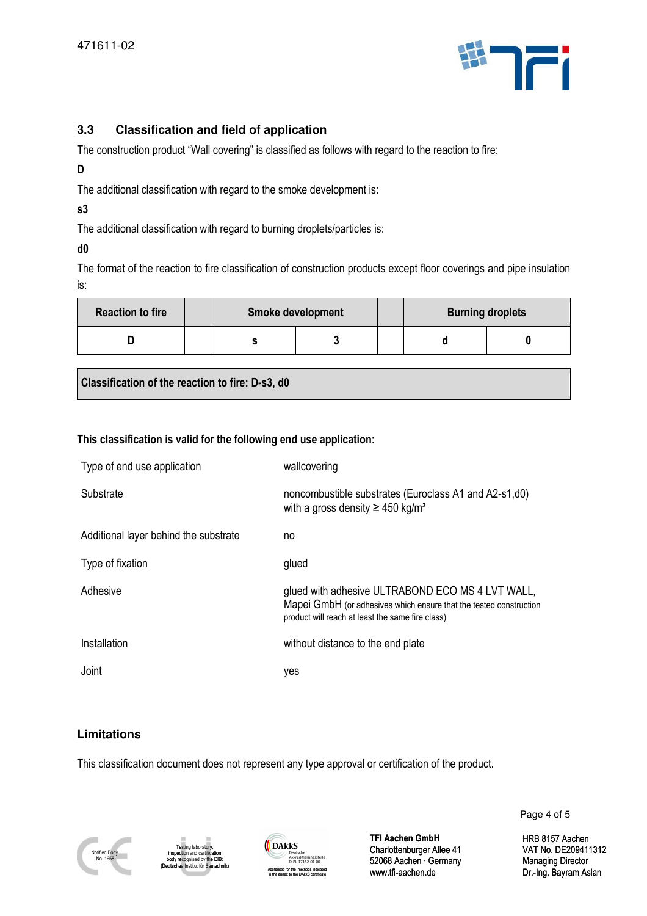

### **D**

### **s3**

### **d0**

The format of the reaction to fire classification of construction products except floor coverings and pipe insulation is:

| <b>Reaction to fire</b> | <b>Smoke development</b> |  |  | <b>Burning droplets</b> |  |
|-------------------------|--------------------------|--|--|-------------------------|--|
|                         |                          |  |  |                         |  |

### **This classification is valid for the following end use application:**

| 3.3                                                                                                                    | <b>Classification and field of application</b>                                                                            |                                                                                                                                                                            |                   |                                                                               |                                               |  |  |  |
|------------------------------------------------------------------------------------------------------------------------|---------------------------------------------------------------------------------------------------------------------------|----------------------------------------------------------------------------------------------------------------------------------------------------------------------------|-------------------|-------------------------------------------------------------------------------|-----------------------------------------------|--|--|--|
| The construction product "Wall covering" is classified as follows with regard to the reaction to fire:                 |                                                                                                                           |                                                                                                                                                                            |                   |                                                                               |                                               |  |  |  |
| D                                                                                                                      |                                                                                                                           |                                                                                                                                                                            |                   |                                                                               |                                               |  |  |  |
| The additional classification with regard to the smoke development is:<br>s3                                           |                                                                                                                           |                                                                                                                                                                            |                   |                                                                               |                                               |  |  |  |
| The additional classification with regard to burning droplets/particles is:                                            |                                                                                                                           |                                                                                                                                                                            |                   |                                                                               |                                               |  |  |  |
| d0                                                                                                                     |                                                                                                                           |                                                                                                                                                                            |                   |                                                                               |                                               |  |  |  |
| The format of the reaction to fire classification of construction products except floor coverings and pipe insu<br>is: |                                                                                                                           |                                                                                                                                                                            |                   |                                                                               |                                               |  |  |  |
| <b>Reaction to fire</b>                                                                                                |                                                                                                                           | Smoke development                                                                                                                                                          |                   | <b>Burning droplets</b>                                                       |                                               |  |  |  |
| D                                                                                                                      | s                                                                                                                         | 3                                                                                                                                                                          |                   | d                                                                             | 0                                             |  |  |  |
| Classification of the reaction to fire: D-s3, d0                                                                       |                                                                                                                           |                                                                                                                                                                            |                   |                                                                               |                                               |  |  |  |
|                                                                                                                        |                                                                                                                           |                                                                                                                                                                            |                   |                                                                               |                                               |  |  |  |
| This classification is valid for the following end use application:                                                    |                                                                                                                           |                                                                                                                                                                            |                   |                                                                               |                                               |  |  |  |
| Type of end use application                                                                                            |                                                                                                                           | wallcovering                                                                                                                                                               |                   |                                                                               |                                               |  |  |  |
| Substrate                                                                                                              |                                                                                                                           | noncombustible substrates (Euroclass A1 and A2-s1,d0)<br>with a gross density $\geq$ 450 kg/m <sup>3</sup>                                                                 |                   |                                                                               |                                               |  |  |  |
| Additional layer behind the substrate                                                                                  |                                                                                                                           | no                                                                                                                                                                         |                   |                                                                               |                                               |  |  |  |
| Type of fixation                                                                                                       |                                                                                                                           | glued                                                                                                                                                                      |                   |                                                                               |                                               |  |  |  |
| Adhesive                                                                                                               |                                                                                                                           | glued with adhesive ULTRABOND ECO MS 4 LVT WALL,<br>Mapei GmbH (or adhesives which ensure that the tested construction<br>product will reach at least the same fire class) |                   |                                                                               |                                               |  |  |  |
| Installation                                                                                                           |                                                                                                                           | without distance to the end plate                                                                                                                                          |                   |                                                                               |                                               |  |  |  |
| Joint                                                                                                                  |                                                                                                                           | yes                                                                                                                                                                        |                   |                                                                               |                                               |  |  |  |
|                                                                                                                        |                                                                                                                           |                                                                                                                                                                            |                   |                                                                               |                                               |  |  |  |
| <b>Limitations</b>                                                                                                     |                                                                                                                           |                                                                                                                                                                            |                   |                                                                               |                                               |  |  |  |
| This classification document does not represent any type approval or certification of the product.                     |                                                                                                                           |                                                                                                                                                                            |                   |                                                                               |                                               |  |  |  |
|                                                                                                                        |                                                                                                                           |                                                                                                                                                                            |                   |                                                                               | Page                                          |  |  |  |
| Notified Body<br>No. 1658                                                                                              | Testing laboratory,<br>inspection and certification<br>body recognised by the DIBt<br>(Deutsches Institut für Bautechnik) | DAkkS<br>Deutsche<br>Akkreditierungsstelle<br>D-PL-17152-01-00<br>Accredited for the methods indicated<br>in the annex to the DAkkS certificate                            | www.tfi-aachen.de | <b>TFI Aachen GmbH</b><br>Charlottenburger Allee 41<br>52068 Aachen · Germany | HRB <sub>8</sub><br>VAT N<br>Manag<br>Dr.-Ing |  |  |  |

### **Limitations**







Page 4 of 5